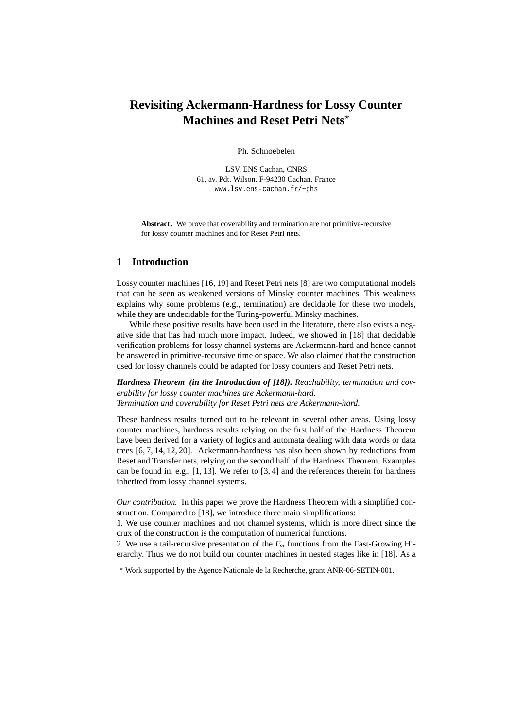# **Revisiting Ackermann-Hardness for Lossy Counter Machines and Reset Petri Nets**<sup>\*</sup>

Ph. Schnoebelen

LSV, ENS Cachan, CNRS 61, av. Pdt. Wilson, F-94230 Cachan, France www.lsv.ens-cachan.fr/~phs

**Abstract.** We prove that coverability and termination are not primitive-recursive for lossy counter machines and for Reset Petri nets.

# **1 Introduction**

Lossy counter machines [16, 19] and Reset Petri nets [8] are two computational models that can be seen as weakened versions of Minsky counter machines. This weakness explains why some problems (e.g., termination) are decidable for these two models, while they are undecidable for the Turing-powerful Minsky machines.

While these positive results have been used in the literature, there also exists a negative side that has had much more impact. Indeed, we showed in [18] that decidable verification problems for lossy channel systems are Ackermann-hard and hence cannot be answered in primitive-recursive time or space. We also claimed that the construction used for lossy channels could be adapted for lossy counters and Reset Petri nets.

*Hardness Theorem (in the Introduction of [18]). Reachability, termination and coverability for lossy counter machines are Ackermann-hard. Termination and coverability for Reset Petri nets are Ackermann-hard.*

These hardness results turned out to be relevant in several other areas. Using lossy counter machines, hardness results relying on the first half of the Hardness Theorem have been derived for a variety of logics and automata dealing with data words or data trees [6, 7, 14, 12, 20]. Ackermann-hardness has also been shown by reductions from Reset and Transfer nets, relying on the second half of the Hardness Theorem. Examples can be found in, e.g., [1, 13]. We refer to [3, 4] and the references therein for hardness inherited from lossy channel systems.

*Our contribution.* In this paper we prove the Hardness Theorem with a simplified construction. Compared to [18], we introduce three main simplifications:

1. We use counter machines and not channel systems, which is more direct since the crux of the construction is the computation of numerical functions.

2. We use a tail-recursive presentation of the  $F_m$  functions from the Fast-Growing Hierarchy. Thus we do not build our counter machines in nested stages like in [18]. As a

<sup>⋆</sup> Work supported by the Agence Nationale de la Recherche, grant ANR-06-SETIN-001.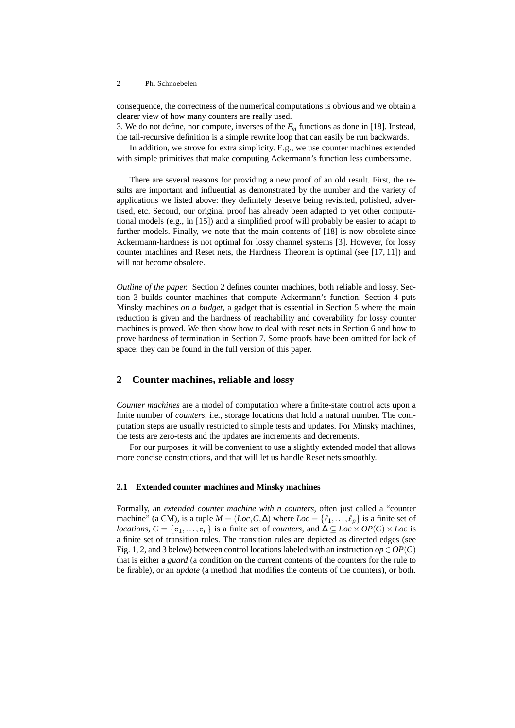consequence, the correctness of the numerical computations is obvious and we obtain a clearer view of how many counters are really used.

3. We do not define, nor compute, inverses of the *F<sup>m</sup>* functions as done in [18]. Instead, the tail-recursive definition is a simple rewrite loop that can easily be run backwards.

In addition, we strove for extra simplicity. E.g., we use counter machines extended with simple primitives that make computing Ackermann's function less cumbersome.

There are several reasons for providing a new proof of an old result. First, the results are important and influential as demonstrated by the number and the variety of applications we listed above: they definitely deserve being revisited, polished, advertised, etc. Second, our original proof has already been adapted to yet other computational models (e.g., in [15]) and a simplified proof will probably be easier to adapt to further models. Finally, we note that the main contents of [18] is now obsolete since Ackermann-hardness is not optimal for lossy channel systems [3]. However, for lossy counter machines and Reset nets, the Hardness Theorem is optimal (see [17, 11]) and will not become obsolete.

*Outline of the paper.* Section 2 defines counter machines, both reliable and lossy. Section 3 builds counter machines that compute Ackermann's function. Section 4 puts Minsky machines *on a budget*, a gadget that is essential in Section 5 where the main reduction is given and the hardness of reachability and coverability for lossy counter machines is proved. We then show how to deal with reset nets in Section 6 and how to prove hardness of termination in Section 7. Some proofs have been omitted for lack of space: they can be found in the full version of this paper.

### **2 Counter machines, reliable and lossy**

*Counter machines* are a model of computation where a finite-state control acts upon a finite number of *counters*, i.e., storage locations that hold a natural number. The computation steps are usually restricted to simple tests and updates. For Minsky machines, the tests are zero-tests and the updates are increments and decrements.

For our purposes, it will be convenient to use a slightly extended model that allows more concise constructions, and that will let us handle Reset nets smoothly.

### **2.1 Extended counter machines and Minsky machines**

Formally, an *extended counter machine with n counters*, often just called a "counter machine" (a CM), is a tuple  $M = (Loc, C, \Delta)$  where  $Loc = \{\ell_1, \ldots, \ell_p\}$  is a finite set of *locations*,  $C = \{c_1, \ldots, c_n\}$  is a finite set of *counters*, and  $\Delta \subseteq Loc \times OP(C) \times Loc$  is a finite set of transition rules. The transition rules are depicted as directed edges (see Fig. 1, 2, and 3 below) between control locations labeled with an instruction  $op \in OP(C)$ that is either a *guard* (a condition on the current contents of the counters for the rule to be firable), or an *update* (a method that modifies the contents of the counters), or both.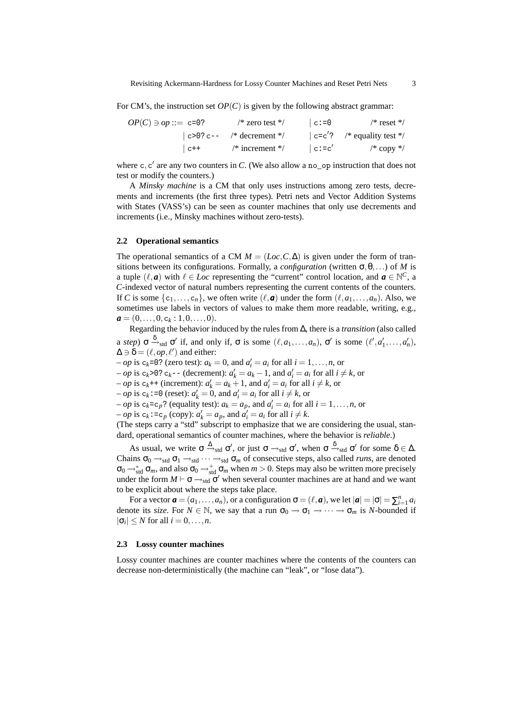For CM's, the instruction set  $OP(C)$  is given by the following abstract grammar:

| $OP(C) \ni op ::= c=0?$ | $\frac{1}{2}$ zero test $\frac{1}{2}$ | $ c:=0$   | $/*$ reset $*/$                |
|-------------------------|---------------------------------------|-----------|--------------------------------|
|                         | $ c>0$ ? c-- /* decrement */          |           | $ c=c' $ ? /* equality test */ |
| $ C++ $                 | $\frac{*}{*}$ increment $\frac{*}{*}$ | $ c:=c' $ | /* copy */                     |

where  $c, c'$  are any two counters in  $C$ . (We also allow a no\_op instruction that does not test or modify the counters.)

A *Minsky machine* is a CM that only uses instructions among zero tests, decrements and increments (the first three types). Petri nets and Vector Addition Systems with States (VASS's) can be seen as counter machines that only use decrements and increments (i.e., Minsky machines without zero-tests).

### **2.2 Operational semantics**

The operational semantics of a CM  $M = (Loc, C, \Delta)$  is given under the form of transitions between its configurations. Formally, a *configuration* (written  $\sigma, \theta, \ldots$ ) of *M* is a tuple  $(\ell, a)$  with  $\ell \in Loc$  representing the "current" control location, and  $a \in \mathbb{N}^C$ , a *C*-indexed vector of natural numbers representing the current contents of the counters. If *C* is some  $\{c_1, \ldots, c_n\}$ , we often write  $(\ell, a)$  under the form  $(\ell, a_1, \ldots, a_n)$ . Also, we sometimes use labels in vectors of values to make them more readable, writing, e.g.,  $a = (0, \ldots, 0, c_k : 1, 0, \ldots, 0).$ 

Regarding the behavior induced by the rules from ∆, there is a *transition* (also called a *step*)  $\sigma \xrightarrow{\delta}_{std} \sigma'$  if, and only if,  $\sigma$  is some  $(\ell, a_1, \ldots, a_n)$ ,  $\sigma'$  is some  $(\ell', a'_1, \ldots, a'_n)$ ,  $\Delta \ni \delta = (\ell, op, \ell')$  and either:

 $\sim$  *op* is c<sub>k</sub>=0? (zero test):  $a_k = 0$ , and  $a'_i = a_i$  for all  $i = 1, \ldots, n$ , or

 $o$  *op* is c<sub>k</sub>>0? c<sub>k</sub>−- (decrement):  $a'_k = a_k - 1$ , and  $a'_i = a_i$  for all  $i \neq k$ , or

 $a_i - op$  is  $c_k$ ++ (increment):  $a'_k = a_k + 1$ , and  $a'_i = a_i$  for all  $i \neq k$ , or

 $(-\text{ } op \text{ is } c_k := 0 \text{ (reset): } a'_k = 0 \text{, and } a'_i = a_i \text{ for all } i \neq k \text{, or } a' \text{ is } a'_i = 0 \text{ (reset): } a'_i = 0 \text{, and } a'_i = a_i \text{ for all } i \neq k \text{.}$ 

 $o$ *p* is  $c_k = c_p$ ? (equality test):  $a_k = a_p$ , and  $a'_i = a_i$  for all  $i = 1, ..., n$ , or

 $(-\text{op is } c_k \colon = c_p \text{ (copy): } a'_k = a_p \text{, and } a'_i = a_i \text{ for all } i \neq k.$ 

(The steps carry a "std" subscript to emphasize that we are considering the usual, standard, operational semantics of counter machines, where the behavior is *reliable*.)

As usual, we write  $\sigma \xrightarrow{\Delta}_{std} \sigma'$ , or just  $\sigma \rightarrow_{std} \sigma'$ , when  $\sigma \xrightarrow{\delta}_{std} \sigma'$  for some  $\delta \in \Delta$ . Chains  $\sigma_0 \rightarrow_{std} \sigma_1 \rightarrow_{std} \cdots \rightarrow_{std} \sigma_m$  of consecutive steps, also called *runs*, are denoted  $\sigma_0 \to_{\text{std}}^* \sigma_m$ , and also  $\sigma_0 \to_{\text{std}}^* \sigma_m$  when  $m > 0$ . Steps may also be written more precisely under the form  $M \vdash \sigma \rightarrow_{std} \sigma'$  when several counter machines are at hand and we want to be explicit about where the steps take place.

For a vector  $\boldsymbol{a} = (a_1, \ldots, a_n)$ , or a configuration  $\sigma = (\ell, \boldsymbol{a})$ , we let  $|\boldsymbol{a}| = |\sigma| = \sum_{i=1}^n a_i$ denote its *size*. For  $N \in \mathbb{N}$ , we say that a run  $\sigma_0 \to \sigma_1 \to \cdots \to \sigma_m$  is *N*-bounded if  $|\sigma_i| \leq N$  for all  $i = 0, \ldots, n$ .

### **2.3 Lossy counter machines**

Lossy counter machines are counter machines where the contents of the counters can decrease non-deterministically (the machine can "leak", or "lose data").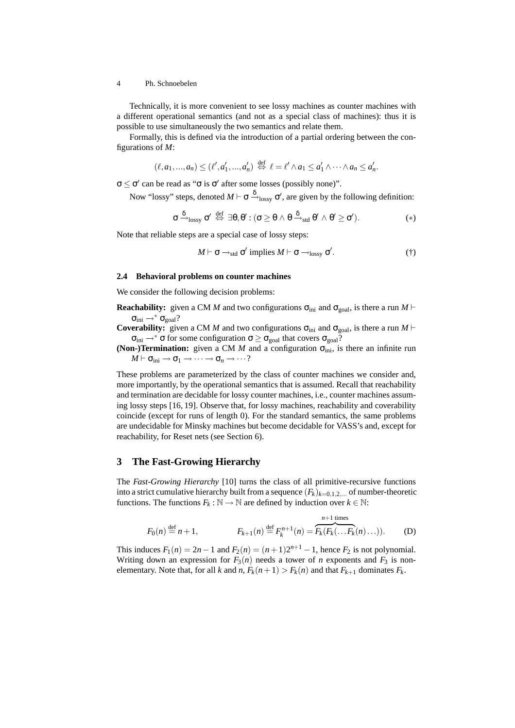Technically, it is more convenient to see lossy machines as counter machines with a different operational semantics (and not as a special class of machines): thus it is possible to use simultaneously the two semantics and relate them.

Formally, this is defined via the introduction of a partial ordering between the configurations of *M*:

$$
(\ell,a_1,...,a_n) \leq (\ell',a'_1,...,a'_n) \stackrel{\text{def}}{\Leftrightarrow} \ell = \ell' \wedge a_1 \leq a'_1 \wedge \cdots \wedge a_n \leq a'_n.
$$

 $\sigma \leq \sigma'$  can be read as " $\sigma$  is  $\sigma'$  after some losses (possibly none)".

Now "lossy" steps, denoted  $M \vdash \sigma \stackrel{\delta}{\rightarrow}_{\text{lossy}} \sigma'$ , are given by the following definition:

$$
\sigma \xrightarrow{\delta} _{\text{lossy}} \sigma' \stackrel{\text{def}}{\Leftrightarrow} \exists \theta, \theta': (\sigma \geq \theta \wedge \theta \xrightarrow{\delta} _{\text{std}} \theta' \wedge \theta' \geq \sigma'). \hspace*{12mm} (*)
$$

Note that reliable steps are a special case of lossy steps:

$$
M \vdash \sigma \rightarrow_{\text{std}} \sigma' \text{ implies } M \vdash \sigma \rightarrow_{\text{lossy}} \sigma'.
$$
 (†)

### **2.4 Behavioral problems on counter machines**

We consider the following decision problems:

**Reachability:** given a CM *M* and two configurations  $\sigma_{\text{ini}}$  and  $\sigma_{\text{goal}}$ , is there a run *M* ⊢  $\sigma_{\text{ini}} \rightarrow^* \sigma_{\text{goal}}$ ?

**Coverability:** given a CM *M* and two configurations  $\sigma_{\text{ini}}$  and  $\sigma_{\text{goal}}$ , is there a run *M* ⊢  $\sigma_{\text{ini}} \rightarrow^* \sigma$  for some configuration  $\sigma \geq \sigma_{\text{goal}}$  that covers  $\sigma_{\text{goal}}$ ?

**(Non-)Termination:** given a CM  $M$  and a configuration  $\sigma_{\text{ini}}$ , is there an infinite run  $M \vdash \sigma_{\text{ini}} \rightarrow \sigma_1 \rightarrow \cdots \rightarrow \sigma_n \rightarrow \cdots$ ?

These problems are parameterized by the class of counter machines we consider and, more importantly, by the operational semantics that is assumed. Recall that reachability and termination are decidable for lossy counter machines, i.e., counter machines assuming lossy steps [16, 19]. Observe that, for lossy machines, reachability and coverability coincide (except for runs of length 0). For the standard semantics, the same problems are undecidable for Minsky machines but become decidable for VASS's and, except for reachability, for Reset nets (see Section 6).

# **3 The Fast-Growing Hierarchy**

The *Fast-Growing Hierarchy* [10] turns the class of all primitive-recursive functions into a strict cumulative hierarchy built from a sequence  $(F_k)_{k=0,1,2,...}$  of number-theoretic functions. The functions  $F_k : \mathbb{N} \to \mathbb{N}$  are defined by induction over  $k \in \mathbb{N}$ :

$$
F_0(n) \stackrel{\text{def}}{=} n+1,
$$
  $F_{k+1}(n) \stackrel{\text{def}}{=} F_k^{n+1}(n) = \overbrace{F_k(F_k(\ldots F_k(n)\ldots))}^{n+1 \text{ times}}.$  (D)

This induces  $F_1(n) = 2n - 1$  and  $F_2(n) = (n + 1)2^{n+1} - 1$ , hence  $F_2$  is not polynomial. Writing down an expression for  $F_3(n)$  needs a tower of *n* exponents and  $F_3$  is nonelementary. Note that, for all *k* and *n*,  $F_k(n+1) > F_k(n)$  and that  $F_{k+1}$  dominates  $F_k$ .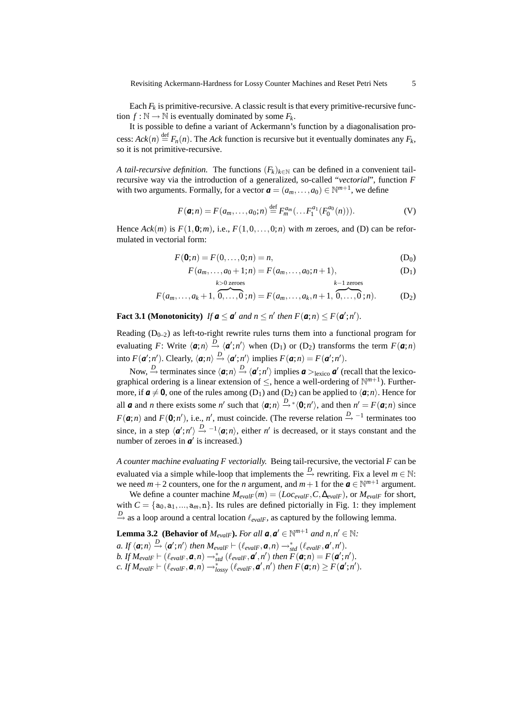Each  $F_k$  is primitive-recursive. A classic result is that every primitive-recursive function  $f : \mathbb{N} \to \mathbb{N}$  is eventually dominated by some  $F_k$ .

It is possible to define a variant of Ackermann's function by a diagonalisation process:  $Ack(n) \stackrel{\text{def}}{=} F_n(n)$ . The *Ack* function is recursive but it eventually dominates any  $F_k$ , so it is not primitive-recursive.

*A tail-recursive definition.* The functions  $(F_k)_{k \in \mathbb{N}}$  can be defined in a convenient tailrecursive way via the introduction of a generalized, so-called "*vectorial*", function *F* with two arguments. Formally, for a vector  $\boldsymbol{a} = (a_m, \dots, a_0) \in \mathbb{N}^{m+1}$ , we define

$$
F(\mathbf{a};n) = F(a_m, \dots, a_0; n) \stackrel{\text{def}}{=} F_m^{a_m}(\dots F_1^{a_1}(F_0^{a_0}(n))).
$$
 (V)

Hence  $Ack(m)$  is  $F(1,0;m)$ , i.e.,  $F(1,0,\ldots,0;n)$  with *m* zeroes, and (D) can be reformulated in vectorial form:

$$
F(\mathbf{0};n) = F(0,\ldots,0;n) = n,
$$
 (D<sub>0</sub>)

$$
F(a_m, \dots, a_0 + 1; n) = F(a_m, \dots, a_0; n+1),
$$
  
\n
$$
k > 0
$$
 zeroes  $k-1$  zeroes (D<sub>1</sub>)

$$
F(a_m, ..., a_k + 1, 0, ..., 0; n) = F(a_m, ..., a_k, n + 1, 0, ..., 0; n).
$$
 (D<sub>2</sub>)

**Fact 3.1 (Monotonicity)** If  $a \le a'$  and  $n \le n'$  then  $F(a;n) \le F(a';n').$ 

Reading  $(D_{0-2})$  as left-to-right rewrite rules turns them into a functional program for evaluating *F*: Write  $\langle a; n \rangle \stackrel{D}{\rightarrow} \langle a'; n' \rangle$  when (D<sub>1</sub>) or (D<sub>2</sub>) transforms the term  $F(a;n)$ into  $F(\mathbf{a}'; n')$ . Clearly,  $\langle \mathbf{a}; n \rangle \stackrel{D}{\rightarrow} \langle \mathbf{a}'; n' \rangle$  implies  $F(\mathbf{a}; n) = F(\mathbf{a}'; n')$ .

Now,  $\stackrel{D}{\rightarrow}$  terminates since  $\langle \mathbf{a};n \rangle \stackrel{D}{\rightarrow} \langle \mathbf{a}';n' \rangle$  implies  $\mathbf{a} >_{\text{lexico}} \mathbf{a}'$  (recall that the lexicographical ordering is a linear extension of  $\leq$ , hence a well-ordering of  $\mathbb{N}^{m+1}$ ). Furthermore, if  $a \neq 0$ , one of the rules among (D<sub>1</sub>) and (D<sub>2</sub>) can be applied to  $\langle a; n \rangle$ . Hence for all *a* and *n* there exists some *n'* such that  $\langle a; n \rangle \stackrel{D}{\rightarrow}^* \langle 0; n' \rangle$ , and then  $n' = F(a; n)$  since *F*( $\boldsymbol{a}$ ;*n*) and *F*( $\boldsymbol{0}$ ;*n*<sup>'</sup>), i.e., *n*<sup>'</sup>, must coincide. (The reverse relation  $\stackrel{D}{\rightarrow}$  <sup>−1</sup> terminates too since, in a step  $\langle \mathbf{a}';n' \rangle \stackrel{D}{\rightarrow} ^{-1} \langle \mathbf{a};n \rangle$ , either *n'* is decreased, or it stays constant and the number of zeroes in  $a'$  is increased.)

*A counter machine evaluating F vectorially.* Being tail-recursive, the vectorial *F* can be evaluated via a simple while-loop that implements the  $\stackrel{D}{\rightarrow}$  rewriting. Fix a level  $m \in \mathbb{N}$ : we need  $m+2$  counters, one for the *n* argument, and  $m+1$  for the  $a \in \mathbb{N}^{m+1}$  argument.

We define a counter machine  $M_{evalF}(m) = (Loc_{evalF}, C, \Delta_{evalF})$ , or  $M_{evalF}$  for short, with  $C = \{a_0, a_1, ..., a_m, n\}$ . Its rules are defined pictorially in Fig. 1: they implement *D*→ as a loop around a central location  $\ell_{evalF}$ , as captured by the following lemma.

**Lemma 3.2** (Behavior of  $M_{evalF}$ ). For all  $a, a' \in \mathbb{N}^{m+1}$  and  $n, n' \in \mathbb{N}$ :  $a.$  If  $\langle a;n\rangle \stackrel{D}{\rightarrow} \langle a';n'\rangle$  then  $M_{evalF} \vdash (\ell_{evalF},a,n) \rightarrow^*_{std} (\ell_{evalF},a',n').$ *b.* If  $M_{evalF} \vdash (\ell_{evalF}, \boldsymbol{a}, n) \rightarrow_{std}^{*} (\ell_{evalF}, \boldsymbol{a}', n')$  then  $F(\boldsymbol{a}; n) = F(\boldsymbol{a}'; n').$  $c.$  *If*  $M_{evalF} \vdash (\ell_{evalF}, \boldsymbol{a}, n) \rightarrow_{lossy}^{*} (\ell_{evalF}, \boldsymbol{a}', n')$  then  $F(\boldsymbol{a}; n) \geq F(\boldsymbol{a}'; n').$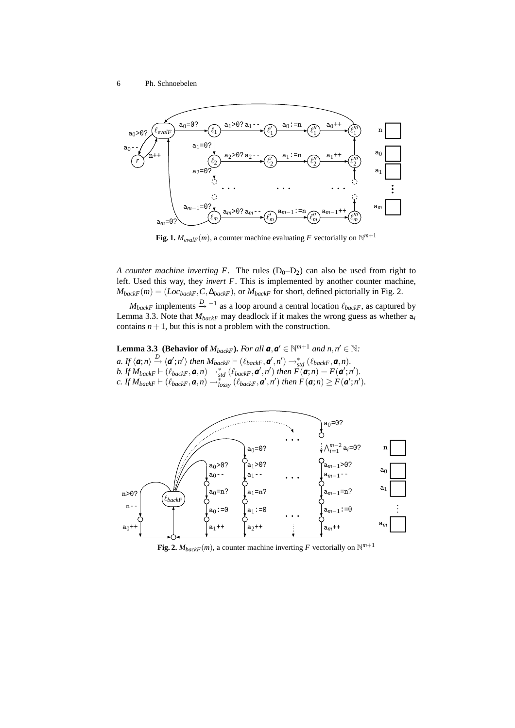

**Fig. 1.**  $M_{evalF}(m)$ , a counter machine evaluating F vectorially on  $\mathbb{N}^{m+1}$ 

*A counter machine inverting F.* The rules  $(D_0-D_2)$  can also be used from right to left. Used this way, they *invert F*. This is implemented by another counter machine,  $M_{backF}(m) = (Loc_{backF}, C, \Delta_{backF})$ , or  $M_{backF}$  for short, defined pictorially in Fig. 2.

 $M_{backF}$  implements  $\stackrel{D}{\rightarrow}$  <sup>-1</sup> as a loop around a central location  $\ell_{backF}$ , as captured by Lemma 3.3. Note that  $M_{backF}$  may deadlock if it makes the wrong guess as whether  $a_i$ contains  $n+1$ , but this is not a problem with the construction.

**Lemma 3.3** (Behavior of  $M_{backF}$ ). For all  $a, a' \in \mathbb{N}^{m+1}$  and  $n, n' \in \mathbb{N}$ :

 $a.$  If  $\langle a;n\rangle \stackrel{D}{\rightarrow} \langle a';n'\rangle$  then  $M_{backF} \vdash (\ell_{backF},a',n') \rightarrow_{std}^{*} (\ell_{backF},a,n)$ . *b.* If  $M_{backF} \vdash (\ell_{backF}, \boldsymbol{a}, n) \rightarrow_{std}^{*} (\ell_{backF}, \boldsymbol{a}', n')$  then  $\widetilde{F}(\boldsymbol{a}; n) = F(\boldsymbol{a}'; n').$  $c.$  *If*  $M_{backF} \vdash (\ell_{backF}, \boldsymbol{a}, n) \rightarrow_{lossy}^{*} (\ell_{backF}, \boldsymbol{a}', n')$  then  $F(\boldsymbol{a}; n) \geq F(\boldsymbol{a}'; n').$ 



**Fig. 2.**  $M_{backF}(m)$ , a counter machine inverting F vectorially on  $\mathbb{N}^{m+1}$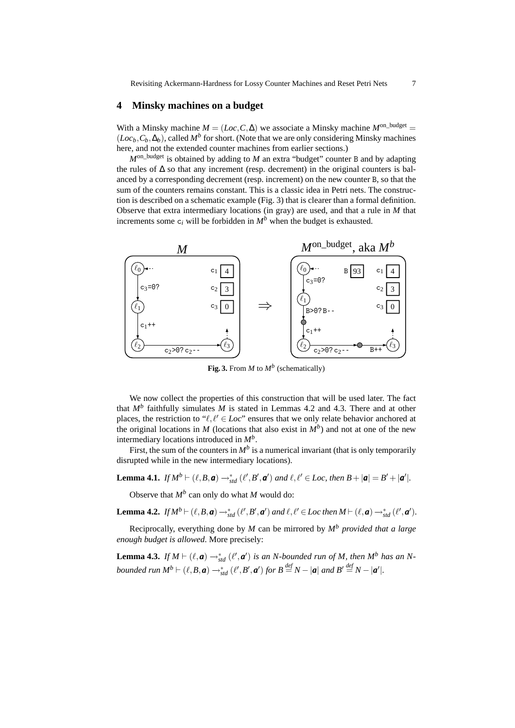# **4 Minsky machines on a budget**

With a Minsky machine  $M = (Loc, C, \Delta)$  we associate a Minsky machine  $M^{\text{on}-\text{budget}} =$  $(Loc_b, C_b, \Delta_b)$ , called  $M^b$  for short. (Note that we are only considering Minsky machines here, and not the extended counter machines from earlier sections.)

*M*on\_budget is obtained by adding to *M* an extra "budget" counter B and by adapting the rules of  $\Delta$  so that any increment (resp. decrement) in the original counters is balanced by a corresponding decrement (resp. increment) on the new counter B, so that the sum of the counters remains constant. This is a classic idea in Petri nets. The construction is described on a schematic example (Fig. 3) that is clearer than a formal definition. Observe that extra intermediary locations (in gray) are used, and that a rule in *M* that increments some  $c_i$  will be forbidden in  $M^b$  when the budget is exhausted.



**Fig. 3.** From *M* to *M<sup>b</sup>* (schematically)

We now collect the properties of this construction that will be used later. The fact that  $M^b$  faithfully simulates  $M$  is stated in Lemmas 4.2 and 4.3. There and at other places, the restriction to " $\ell, \ell' \in Loc$ " ensures that we only relate behavior anchored at the original locations in *M* (locations that also exist in  $M^b$ ) and not at one of the new intermediary locations introduced in *M<sup>b</sup>* .

First, the sum of the counters in  $M^b$  is a numerical invariant (that is only temporarily disrupted while in the new intermediary locations).

**Lemma 4.1.** *If*  $M^b \vdash (\ell, B, a) \rightarrow_{std}^* (\ell', B', a')$  *and*  $\ell, \ell' \in Loc$ , *then*  $B + |a| = B' + |a'|$ .

Observe that *M<sup>b</sup>* can only do what *M* would do:

**Lemma 4.2.** *If*  $M^b \vdash (\ell, B, a) \rightarrow^*_{std} (\ell', B', a')$  and  $\ell, \ell' \in Loc$  then  $M \vdash (\ell, a) \rightarrow^*_{std} (\ell', a')$ .

Reciprocally, everything done by *M* can be mirrored by *M<sup>b</sup> provided that a large enough budget is allowed*. More precisely:

**Lemma 4.3.** *If*  $M \vdash (\ell, a) \rightarrow^*_{std} (\ell', a')$  *is an N-bounded run of*  $M$ *, then*  $M^b$  *has an*  $N$ *bounded run*  $M^b \vdash (\ell, B, a) \rightarrow_{std}^* (\ell', B', a')$  *for*  $B \stackrel{def}{=} N - |a|$  *and*  $B' \stackrel{def}{=} N - |a'|$ .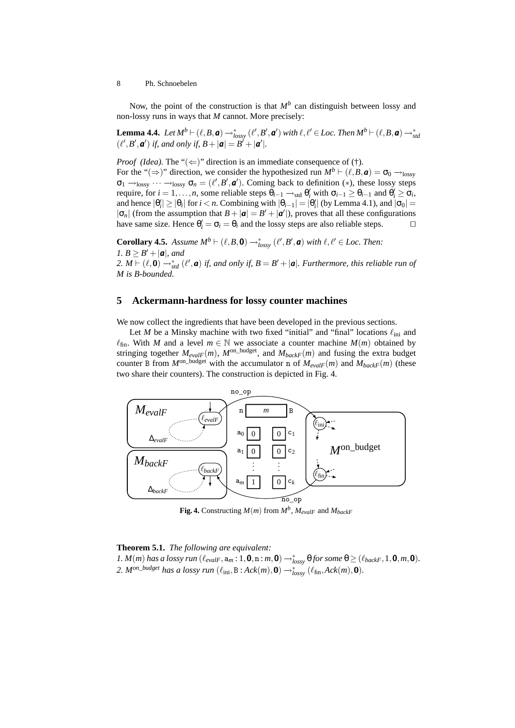Now, the point of the construction is that  $M^b$  can distinguish between lossy and non-lossy runs in ways that *M* cannot. More precisely:

 $\bf{Lemma \ 4.4.} \ \ Let \ M^b \vdash (\ell, B, \bm{a}) \rightarrow^*_{lossy} (\ell', B', \bm{a}') \ with \ \ell, \ell' \in Loc. \ Then \ M^b \vdash (\ell, B, \bm{a}) \rightarrow^*_{std}$  $(\ell', B', \mathbf{a}')$  if, and only if,  $B + |\mathbf{a}| = B' + |\mathbf{a}'|$ .

*Proof (Idea).* The " $(\Leftarrow)$ " direction is an immediate consequence of (†).

For the "(⇒)" direction, we consider the hypothesized run  $M^b \vdash (\ell, B, a) = \sigma_0 \rightarrow_{\text{lossy}}$  $\sigma_1 \rightarrow_{\text{lossy}} \cdots \rightarrow_{\text{lossy}} \sigma_n = (\ell', B', \mathbf{a}')$ . Coming back to definition (\*), these lossy steps require, for  $i = 1, ..., n$ , some reliable steps  $\theta_{i-1} \rightarrow_{std} \theta'_i$  with  $\sigma_{i-1} \ge \theta_{i-1}$  and  $\theta'_i \ge \sigma_i$ , and hence  $|\theta'_i| \geq |\theta_i|$  for  $i < n$ . Combining with  $|\theta_{i-1}| = |\theta'_i|$  (by Lemma 4.1), and  $|\sigma_0|$  $|\sigma_n|$  (from the assumption that  $B + |\mathbf{a}| = B' + |\mathbf{a}'|$ ), proves that all these configurations have same size. Hence  $\theta'_i = \sigma_i = \theta_i$  and the lossy steps are also reliable steps.  $\Box$ 

**Corollary 4.5.** *Assume*  $M^b \vdash (\ell, B, \mathbf{0}) \rightarrow_{lossy}^* (\ell', B', \mathbf{a})$  *with*  $\ell, \ell' \in Loc$ . *Then: 1.*  $B \geq B' + |\boldsymbol{a}|$ *, and 2. M*  $\vdash$  ( $\ell$ , **0**)  $\rightarrow$ <sup>\*</sup><sub>std</sub> ( $\ell'$ , *a*) *if, and only if, B* = *B'* + |**a**|*. Furthermore, this reliable run of M is B-bounded.*

### **5 Ackermann-hardness for lossy counter machines**

We now collect the ingredients that have been developed in the previous sections.

Let *M* be a Minsky machine with two fixed "initial" and "final" locations  $\ell_{\text{ini}}$  and  $\ell_{fin}$ . With *M* and a level  $m \in \mathbb{N}$  we associate a counter machine  $M(m)$  obtained by stringing together  $M_{evalF}(m)$ ,  $M^{on\_budget}$ , and  $M_{backF}(m)$  and fusing the extra budget counter B from  $M^{\text{on}-\text{budget}}$  with the accumulator n of  $M_{\text{ev}aI\text{F}}(m)$  and  $M_{\text{backF}}(m)$  (these two share their counters). The construction is depicted in Fig. 4.



**Fig. 4.** Constructing  $M(m)$  from  $M^b$ ,  $M_{evalF}$  and  $M_{backF}$ 

#### **Theorem 5.1.** *The following are equivalent:*

*1.*  $M(m)$  has a lossy run  $(\ell_{evalF}, a_m: 1, \mathbf{0}, n : m, \mathbf{0}) \rightarrow_{lossy}^* \theta$  for some  $\theta \geq (\ell_{backF}, 1, \mathbf{0}, m, \mathbf{0})$ . 2.  $M^{on\_budget}$  has a lossy run  $(\ell_{\text{ini}},B:ack(m),\mathbf{0}) \rightarrow_{lossy}^{*} (\ell_{\text{fin}},ack(m),\mathbf{0})$ .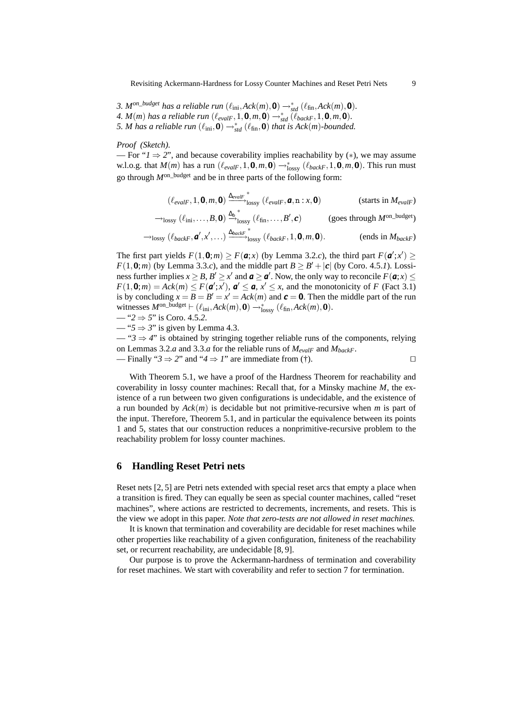Revisiting Ackermann-Hardness for Lossy Counter Machines and Reset Petri Nets 9

*3.*  $M^{on\_budget}$  has a reliable run  $(\ell_{\text{ini}}, \text{Ack}(m), \mathbf{0}) \rightarrow_{\text{std}}^* (\ell_{\text{fin}}, \text{Ack}(m), \mathbf{0})$ . *4.*  $M(m)$  has a reliable run  $(\ell_{evalF}, 1, \mathbf{0}, m, \mathbf{0}) \rightarrow_{std}^* (\ell_{backF}, 1, \mathbf{0}, m, \mathbf{0})$ . *5. M has a reliable run*  $(\ell_{\text{ini}}, \mathbf{0}) \rightarrow_{\text{std}}^* (\ell_{\text{fin}}, \mathbf{0})$  *that is Ack*(*m*)*-bounded.* 

*Proof (Sketch).*

— For " $1 \Rightarrow 2$ ", and because coverability implies reachability by (\*), we may assume w.l.o.g. that  $M(m)$  has a run  $(\ell_{evalF}, 1, \mathbf{0}, m, \mathbf{0}) \rightarrow_{\text{lossy}}^* (\ell_{backF}, 1, \mathbf{0}, m, \mathbf{0})$ . This run must go through *M*on\_budget and be in three parts of the following form:

$$
(\ell_{evalF}, 1, \mathbf{0}, m, \mathbf{0}) \xrightarrow{\Delta_{evalF}}^{\text{linear}} (\ell_{evalF}, \mathbf{a}, \mathbf{n} : x, \mathbf{0})
$$
 (starts in  $M_{evalF}$ )  
\n
$$
\rightarrow_{lossy} (\ell_{\text{ini}}, \dots, B, \mathbf{0}) \xrightarrow{\Delta_b^*} (\ell_{\text{fin}}, \dots, B', c)
$$
 (goes through  $M^{\text{on\_budget}}$ )  
\n
$$
\rightarrow_{lossy} (\ell_{backF}, \mathbf{a}', x', \dots) \xrightarrow{\Delta_{backF}}^{\text{linear}} (\ell_{backF}, 1, \mathbf{0}, m, \mathbf{0}).
$$
 (ends in  $M_{backF}$ )

The first part yields  $F(1, \mathbf{0}; m) \geq F(\mathbf{a}; x)$  (by Lemma 3.2.*c*), the third part  $F(\mathbf{a}'; x') \geq$  $F(1,0;m)$  (by Lemma 3.3.*c*), and the middle part  $B \ge B' + |\mathbf{c}|$  (by Coro. 4.5.*1*). Lossiness further implies  $x \geq B$ ,  $B' \geq x'$  and  $a \geq a'$ . Now, the only way to reconcile  $F(a; x) \leq$  $F(1, \mathbf{0}; m) = Ack(m) \leq F(\mathbf{a}'; x')$ ,  $\mathbf{a}' \leq \mathbf{a}, x' \leq x$ , and the monotonicity of *F* (Fact 3.1) is by concluding  $x = B = B' = x' = Ack(m)$  and  $c = 0$ . Then the middle part of the run witnesses  $M^{\text{on\_budget}} \vdash (\ell_{\text{ini}}, Ack(m),\mathbf{0}) \rightarrow_{\text{lossy}}^* (\ell_{\text{fin}},Ack(m),\mathbf{0}).$ 

$$
-42 \Rightarrow 5'' \text{ is Coro. } 4.5.2.
$$

— " $5 \Rightarrow 3$ " is given by Lemma 4.3.

— "*3* ⇒ *4*" is obtained by stringing together reliable runs of the components, relying on Lemmas 3.2.*a* and 3.3.*a* for the reliable runs of *MevalF* and *MbackF*. — Finally " $3 \Rightarrow 2$ " and " $4 \Rightarrow 1$ " are immediate from (†). □

With Theorem 5.1, we have a proof of the Hardness Theorem for reachability and coverability in lossy counter machines: Recall that, for a Minsky machine *M*, the existence of a run between two given configurations is undecidable, and the existence of a run bounded by *Ack*(*m*) is decidable but not primitive-recursive when *m* is part of the input. Therefore, Theorem 5.1, and in particular the equivalence between its points 1 and 5, states that our construction reduces a nonprimitive-recursive problem to the reachability problem for lossy counter machines.

### **6 Handling Reset Petri nets**

Reset nets [2, 5] are Petri nets extended with special reset arcs that empty a place when a transition is fired. They can equally be seen as special counter machines, called "reset machines", where actions are restricted to decrements, increments, and resets. This is the view we adopt in this paper. *Note that zero-tests are not allowed in reset machines.*

It is known that termination and coverability are decidable for reset machines while other properties like reachability of a given configuration, finiteness of the reachability set, or recurrent reachability, are undecidable [8, 9].

Our purpose is to prove the Ackermann-hardness of termination and coverability for reset machines. We start with coverability and refer to section 7 for termination.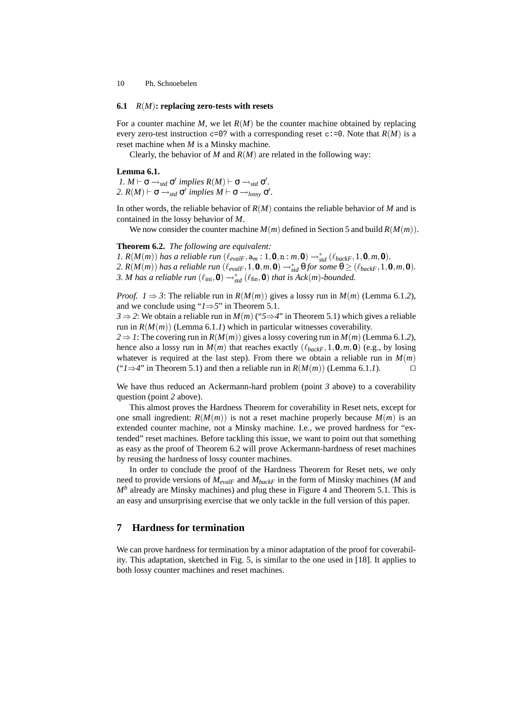#### **6.1** *R*(*M*)**: replacing zero-tests with resets**

For a counter machine *M*, we let *R*(*M*) be the counter machine obtained by replacing every zero-test instruction  $c=0$ ? with a corresponding reset  $c:=0$ . Note that  $R(M)$  is a reset machine when *M* is a Minsky machine.

Clearly, the behavior of *M* and  $R(M)$  are related in the following way:

#### **Lemma 6.1.**

*1.*  $M \vdash \sigma \rightarrow_{std} \sigma'$  implies  $R(M) \vdash \sigma \rightarrow_{std} \sigma'$ . 2.  $R(M) \vdash \sigma \rightarrow_{std} \sigma'$  implies  $M \vdash \sigma \rightarrow_{lossy} \sigma'$ .

In other words, the reliable behavior of *R*(*M*) contains the reliable behavior of *M* and is contained in the lossy behavior of *M*.

We now consider the counter machine  $M(m)$  defined in Section 5 and build  $R(M(m))$ .

### **Theorem 6.2.** *The following are equivalent:*

*1.*  $R(M(m))$  has a reliable run  $(\ell_{evalF}, a_m : 1, 0, n : m, 0) \rightarrow_{std}^* (\ell_{backF}, 1, 0, m, 0)$ . *2.*  $R(M(m))$  has a reliable run  $(\ell_{evalF}, 1, \mathbf{0}, m, \mathbf{0}) \rightarrow_{std}^* \Theta$  for some  $\Theta \geq (\ell_{backF}, 1, \mathbf{0}, m, \mathbf{0})$ . *3. M has a reliable run*  $(\ell_{\text{ini}}, \mathbf{0}) \rightarrow_{\text{std}}^* (\ell_{\text{fin}}, \mathbf{0})$  *that is Ack*(*m*)*-bounded.* 

*Proof.*  $1 \Rightarrow 3$ : The reliable run in  $R(M(m))$  gives a lossy run in  $M(m)$  (Lemma 6.1.2), and we conclude using "*1*⇒*5*" in Theorem 5.1.

*3*  $\Rightarrow$  2: We obtain a reliable run in *M*(*m*) ("5  $\Rightarrow$  4" in Theorem 5.1) which gives a reliable run in  $R(M(m))$  (Lemma 6.1.1) which in particular witnesses coverability.

 $2 \Rightarrow I$ : The covering run in  $R(M(m))$  gives a lossy covering run in  $M(m)$  (Lemma 6.1.2), hence also a lossy run in  $M(m)$  that reaches exactly ( $\ell_{backF}$ , 1, 0, *m*, 0) (e.g., by losing whatever is required at the last step). From there we obtain a reliable run in  $M(m)$ (" $1 \Rightarrow 4$ " in Theorem 5.1) and then a reliable run in *R*(*M*(*m*)) (Lemma 6.1.*1*). □

We have thus reduced an Ackermann-hard problem (point *3* above) to a coverability question (point *2* above).

This almost proves the Hardness Theorem for coverability in Reset nets, except for one small ingredient:  $R(M(m))$  is not a reset machine properly because  $M(m)$  is an extended counter machine, not a Minsky machine. I.e., we proved hardness for "extended" reset machines. Before tackling this issue, we want to point out that something as easy as the proof of Theorem 6.2 will prove Ackermann-hardness of reset machines by reusing the hardness of lossy counter machines.

In order to conclude the proof of the Hardness Theorem for Reset nets, we only need to provide versions of *MevalF* and *MbackF* in the form of Minsky machines (*M* and  $M<sup>b</sup>$  already are Minsky machines) and plug these in Figure 4 and Theorem 5.1. This is an easy and unsurprising exercise that we only tackle in the full version of this paper.

# **7 Hardness for termination**

We can prove hardness for termination by a minor adaptation of the proof for coverability. This adaptation, sketched in Fig. 5, is similar to the one used in [18]. It applies to both lossy counter machines and reset machines.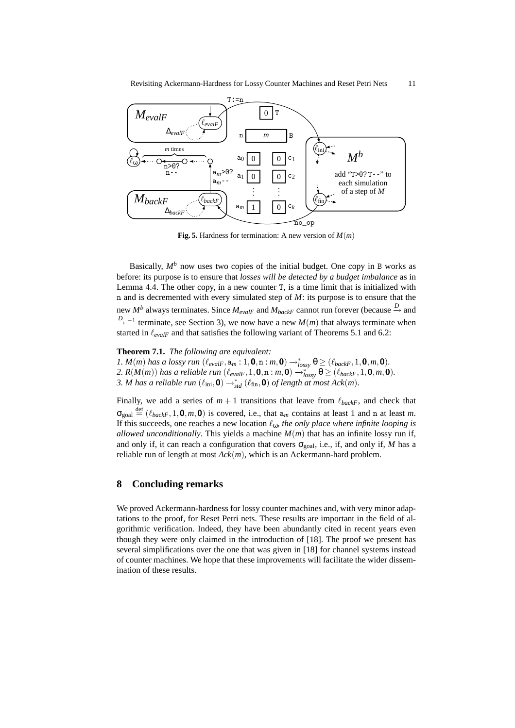

**Fig. 5.** Hardness for termination: A new version of  $M(m)$ 

Basically,  $M^b$  now uses two copies of the initial budget. One copy in B works as before: its purpose is to ensure that *losses will be detected by a budget imbalance* as in Lemma 4.4. The other copy, in a new counter T, is a time limit that is initialized with n and is decremented with every simulated step of *M*: its purpose is to ensure that the new  $M^b$  always terminates. Since  $M_{evalF}$  and  $M_{backF}$  cannot run forever (because  $\stackrel{D}{\to}$  and *D*<sub>→</sub> <sup>−1</sup> terminate, see Section 3), we now have a new *M*(*m*) that always terminate when started in  $\ell_{evalF}$  and that satisfies the following variant of Theorems 5.1 and 6.2:

### **Theorem 7.1.** *The following are equivalent:*

*1.*  $M(m)$  has a lossy run  $(\ell_{evalF}, a_m : 1, \mathbf{0}, n : m, \mathbf{0}) \rightarrow_{lossy}^* \theta \geq (\ell_{backF}, 1, \mathbf{0}, m, \mathbf{0})$ . 2.  $R(M(m))$  has a reliable run  $(\ell_{evalF}, 1, \mathbf{0}, n : m, \mathbf{0}) \rightarrow_{lossy}^* \Theta \geq (\ell_{backF}, 1, \mathbf{0}, m, \mathbf{0})$ . *3. M has a reliable run*  $(\ell_{\text{ini}}, \mathbf{0}) \rightarrow_{\text{std}}^* (\ell_{\text{fin}}, \mathbf{0})$  *of length at most Ack*(*m*).

Finally, we add a series of  $m + 1$  transitions that leave from  $\ell_{backF}$ , and check that  $\sigma_{\text{goal}} \stackrel{\text{def}}{=} (\ell_{backF}, 1, \mathbf{0}, m, \mathbf{0})$  is covered, i.e., that  $a_m$  contains at least 1 and n at least *m*. If this succeeds, one reaches a new location  $\ell_{\omega}$ , *the only place where infinite looping is allowed unconditionally*. This yields a machine  $M(m)$  that has an infinite lossy run if, and only if, it can reach a configuration that covers  $\sigma_{goal}$ , i.e., if, and only if, *M* has a reliable run of length at most *Ack*(*m*), which is an Ackermann-hard problem.

# **8 Concluding remarks**

We proved Ackermann-hardness for lossy counter machines and, with very minor adaptations to the proof, for Reset Petri nets. These results are important in the field of algorithmic verification. Indeed, they have been abundantly cited in recent years even though they were only claimed in the introduction of [18]. The proof we present has several simplifications over the one that was given in [18] for channel systems instead of counter machines. We hope that these improvements will facilitate the wider dissemination of these results.